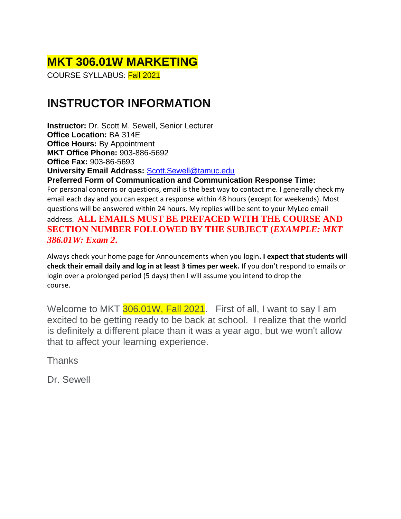# **MKT 306.01W MARKETING**

COURSE SYLLABUS: Fall 2021

# **INSTRUCTOR INFORMATION**

**Instructor:** Dr. Scott M. Sewell, Senior Lecturer **Office Location:** BA 314E **Office Hours:** By Appointment **MKT Office Phone:** 903-886-5692 **Office Fax:** 903-86-5693 **University Email Address:** [Scott.Sewell@tamuc.edu](mailto:Scott.Sewell@tamuc.edu)

**Preferred Form of Communication and Communication Response Time:** For personal concerns or questions, email is the best way to contact me. I generally check my email each day and you can expect a response within 48 hours (except for weekends). Most questions will be answered within 24 hours. My replies will be sent to your MyLeo email address. **ALL EMAILS MUST BE PREFACED WITH THE COURSE AND SECTION NUMBER FOLLOWED BY THE SUBJECT (***EXAMPLE: MKT 386.01W: Exam 2***.**

Always check your home page for Announcements when you login**. I expect that students will check their email daily and log in at least 3 times per week.** If you don't respond to emails or login over a prolonged period (5 days) then I will assume you intend to drop the course.

Welcome to MKT 306.01W, Fall 2021. First of all, I want to say I am excited to be getting ready to be back at school. I realize that the world is definitely a different place than it was a year ago, but we won't allow that to affect your learning experience.

**Thanks** 

Dr. Sewell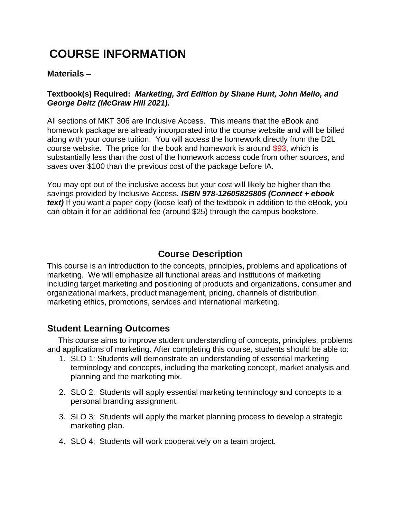# **COURSE INFORMATION**

#### **Materials –**

#### **Textbook(s) Required:** *Marketing, 3rd Edition by Shane Hunt, John Mello, and George Deitz (McGraw Hill 2021).*

All sections of MKT 306 are Inclusive Access. This means that the eBook and homework package are already incorporated into the course website and will be billed along with your course tuition. You will access the homework directly from the D2L course website. The price for the book and homework is around \$93, which is substantially less than the cost of the homework access code from other sources, and saves over \$100 than the previous cost of the package before IA.

You may opt out of the inclusive access but your cost will likely be higher than the savings provided by Inclusive Access*. ISBN 978-12605825805 (Connect + ebook text)* If you want a paper copy (loose leaf) of the textbook in addition to the eBook, you can obtain it for an additional fee (around \$25) through the campus bookstore.

## **Course Description**

This course is an introduction to the concepts, principles, problems and applications of marketing. We will emphasize all functional areas and institutions of marketing including target marketing and positioning of products and organizations, consumer and organizational markets, product management, pricing, channels of distribution, marketing ethics, promotions, services and international marketing.

## **Student Learning Outcomes**

 This course aims to improve student understanding of concepts, principles, problems and applications of marketing. After completing this course, students should be able to:

- 1. SLO 1: Students will demonstrate an understanding of essential marketing terminology and concepts, including the marketing concept, market analysis and planning and the marketing mix.
- 2. SLO 2: Students will apply essential marketing terminology and concepts to a personal branding assignment.
- 3. SLO 3: Students will apply the market planning process to develop a strategic marketing plan.
- 4. SLO 4: Students will work cooperatively on a team project.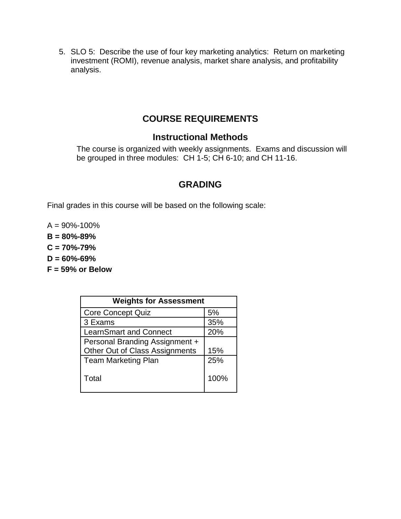5. SLO 5: Describe the use of four key marketing analytics: Return on marketing investment (ROMI), revenue analysis, market share analysis, and profitability analysis.

## **COURSE REQUIREMENTS**

### **Instructional Methods**

The course is organized with weekly assignments. Exams and discussion will be grouped in three modules: CH 1-5; CH 6-10; and CH 11-16.

# **GRADING**

Final grades in this course will be based on the following scale:

 $A = 90\% - 100\%$ 

**B = 80%-89%** 

**C = 70%-79%** 

**D = 60%-69%** 

**F = 59% or Below** 

| <b>Weights for Assessment</b>  |      |  |  |
|--------------------------------|------|--|--|
| <b>Core Concept Quiz</b>       | 5%   |  |  |
| 3 Exams                        | 35%  |  |  |
| <b>LearnSmart and Connect</b>  | 20%  |  |  |
| Personal Branding Assignment + |      |  |  |
| Other Out of Class Assignments | 15%  |  |  |
| <b>Team Marketing Plan</b>     | 25%  |  |  |
| Total                          | 100% |  |  |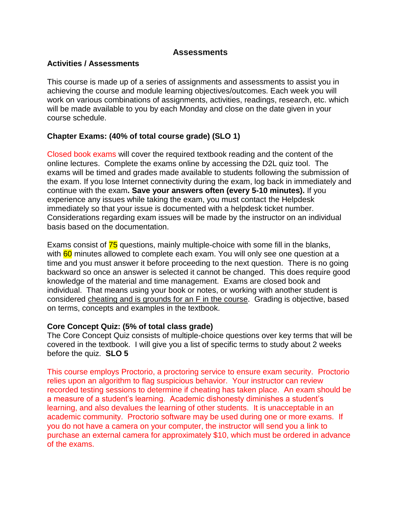#### **Assessments**

#### **Activities / Assessments**

This course is made up of a series of assignments and assessments to assist you in achieving the course and module learning objectives/outcomes. Each week you will work on various combinations of assignments, activities, readings, research, etc. which will be made available to you by each Monday and close on the date given in your course schedule.

#### **Chapter Exams: (40% of total course grade) (SLO 1)**

Closed book exams will cover the required textbook reading and the content of the online lectures. Complete the exams online by accessing the D2L quiz tool. The exams will be timed and grades made available to students following the submission of the exam. If you lose Internet connectivity during the exam, log back in immediately and continue with the exam**. Save your answers often (every 5-10 minutes).** If you experience any issues while taking the exam, you must contact the Helpdesk immediately so that your issue is documented with a helpdesk ticket number. Considerations regarding exam issues will be made by the instructor on an individual basis based on the documentation.

Exams consist of 75 questions, mainly multiple-choice with some fill in the blanks, with 60 minutes allowed to complete each exam. You will only see one question at a time and you must answer it before proceeding to the next question. There is no going backward so once an answer is selected it cannot be changed. This does require good knowledge of the material and time management. Exams are closed book and individual. That means using your book or notes, or working with another student is considered cheating and is grounds for an F in the course. Grading is objective, based on terms, concepts and examples in the textbook.

#### **Core Concept Quiz: (5% of total class grade)**

The Core Concept Quiz consists of multiple-choice questions over key terms that will be covered in the textbook. I will give you a list of specific terms to study about 2 weeks before the quiz. **SLO 5**

This course employs Proctorio, a proctoring service to ensure exam security. Proctorio relies upon an algorithm to flag suspicious behavior. Your instructor can review recorded testing sessions to determine if cheating has taken place. An exam should be a measure of a student's learning. Academic dishonesty diminishes a student's learning, and also devalues the learning of other students. It is unacceptable in an academic community. Proctorio software may be used during one or more exams. If you do not have a camera on your computer, the instructor will send you a link to purchase an external camera for approximately \$10, which must be ordered in advance of the exams.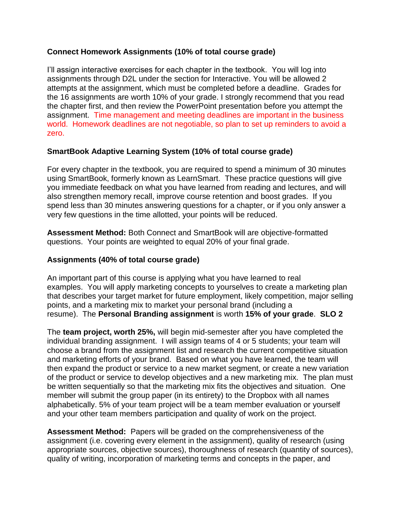#### **Connect Homework Assignments (10% of total course grade)**

I'll assign interactive exercises for each chapter in the textbook. You will log into assignments through D2L under the section for Interactive. You will be allowed 2 attempts at the assignment, which must be completed before a deadline. Grades for the 16 assignments are worth 10% of your grade. I strongly recommend that you read the chapter first, and then review the PowerPoint presentation before you attempt the assignment. Time management and meeting deadlines are important in the business world. Homework deadlines are not negotiable, so plan to set up reminders to avoid a zero.

#### **SmartBook Adaptive Learning System (10% of total course grade)**

For every chapter in the textbook, you are required to spend a minimum of 30 minutes using SmartBook, formerly known as LearnSmart. These practice questions will give you immediate feedback on what you have learned from reading and lectures, and will also strengthen memory recall, improve course retention and boost grades. If you spend less than 30 minutes answering questions for a chapter, or if you only answer a very few questions in the time allotted, your points will be reduced.

**Assessment Method:** Both Connect and SmartBook will are objective-formatted questions. Your points are weighted to equal 20% of your final grade.

#### **Assignments (40% of total course grade)**

An important part of this course is applying what you have learned to real examples. You will apply marketing concepts to yourselves to create a marketing plan that describes your target market for future employment, likely competition, major selling points, and a marketing mix to market your personal brand (including a resume). The **Personal Branding assignment** is worth **15% of your grade**. **SLO 2**

The **team project, worth 25%,** will begin mid-semester after you have completed the individual branding assignment. I will assign teams of 4 or 5 students; your team will choose a brand from the assignment list and research the current competitive situation and marketing efforts of your brand. Based on what you have learned, the team will then expand the product or service to a new market segment, or create a new variation of the product or service to develop objectives and a new marketing mix. The plan must be written sequentially so that the marketing mix fits the objectives and situation. One member will submit the group paper (in its entirety) to the Dropbox with all names alphabetically. 5% of your team project will be a team member evaluation or yourself and your other team members participation and quality of work on the project.

**Assessment Method:** Papers will be graded on the comprehensiveness of the assignment (i.e. covering every element in the assignment), quality of research (using appropriate sources, objective sources), thoroughness of research (quantity of sources), quality of writing, incorporation of marketing terms and concepts in the paper, and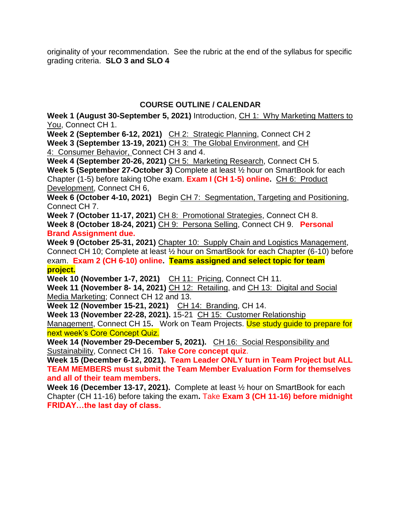originality of your recommendation. See the rubric at the end of the syllabus for specific grading criteria. **SLO 3 and SLO 4**

### **COURSE OUTLINE / CALENDAR**

**Week 1 (August 30-September 5, 2021)** Introduction, CH 1: Why Marketing Matters to You, Connect CH 1.

**Week 2 (September 6-12, 2021)** CH 2: Strategic Planning, Connect CH 2 **Week 3 (September 13-19, 2021)** CH 3: The Global Environment, and CH 4: Consumer Behavior, Connect CH 3 and 4.

**Week 4 (September 20-26, 2021)** CH 5: Marketing Research, Connect CH 5.

**Week 5 (September 27-October 3)** Complete at least ½ hour on SmartBook for each Chapter (1-5) before taking tOhe exam. **Exam I (CH 1-5) online.** CH 6: Product Development, Connect CH 6,

**Week 6 (October 4-10, 2021)** Begin CH 7: Segmentation, Targeting and Positioning, Connect CH 7.

**Week 7 (October 11-17, 2021)** CH 8: Promotional Strategies, Connect CH 8. **Week 8 (October 18-24, 2021)** CH 9: Persona Selling, Connect CH 9. **Personal** 

#### **Brand Assignment due.**

**Week 9 (October 25-31, 2021)** Chapter 10: Supply Chain and Logistics Management, Connect CH 10; Complete at least ½ hour on SmartBook for each Chapter (6-10) before exam. **Exam 2 (CH 6-10) online. Teams assigned and select topic for team project.**

**Week 10 (November 1-7, 2021)** CH 11: Pricing, Connect CH 11.

**Week 11 (November 8- 14, 2021)** CH 12: Retailing, and CH 13: Digital and Social Media Marketing; Connect CH 12 and 13.

**Week 12 (November 15-21, 2021)** CH 14: Branding, CH 14.

**Week 13 (November 22-28, 2021).** 15-21 CH 15: Customer Relationship

Management, Connect CH 15**.** Work on Team Projects. Use study guide to prepare for next week's Core Concept Quiz.

**Week 14 (November 29-December 5, 2021).** CH 16: Social Responsibility and Sustainability, Connect CH 16. **Take Core concept quiz**.

**Week 15 (December 6-12, 2021). Team Leader ONLY turn in Team Project but ALL TEAM MEMBERS must submit the Team Member Evaluation Form for themselves and all of their team members.**

**Week 16 (December 13-17, 2021).** Complete at least ½ hour on SmartBook for each Chapter (CH 11-16) before taking the exam**.** Take **Exam 3 (CH 11-16) before midnight FRIDAY…the last day of class.**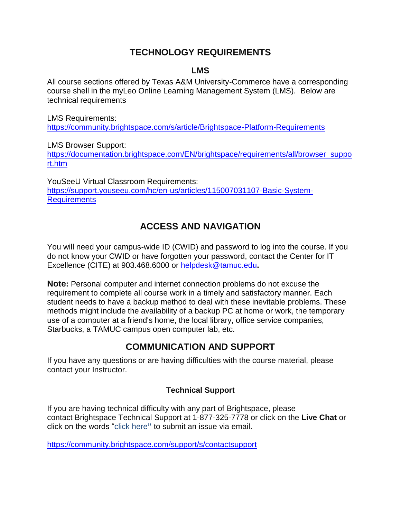# **TECHNOLOGY REQUIREMENTS**

### **LMS**

All course sections offered by Texas A&M University-Commerce have a corresponding course shell in the myLeo Online Learning Management System (LMS). Below are technical requirements

LMS Requirements: <https://community.brightspace.com/s/article/Brightspace-Platform-Requirements>

LMS Browser Support:

[https://documentation.brightspace.com/EN/brightspace/requirements/all/browser\\_suppo](https://documentation.brightspace.com/EN/brightspace/requirements/all/browser_support.htm) [rt.htm](https://documentation.brightspace.com/EN/brightspace/requirements/all/browser_support.htm)

YouSeeU Virtual Classroom Requirements: [https://support.youseeu.com/hc/en-us/articles/115007031107-Basic-System-](https://support.youseeu.com/hc/en-us/articles/115007031107-Basic-System-Requirements)**[Requirements](https://support.youseeu.com/hc/en-us/articles/115007031107-Basic-System-Requirements)** 

# **ACCESS AND NAVIGATION**

You will need your campus-wide ID (CWID) and password to log into the course. If you do not know your CWID or have forgotten your password, contact the Center for IT Excellence (CITE) at 903.468.6000 or [helpdesk@tamuc.edu](mailto:helpdesk@tamuc.edu)**.**

**Note:** Personal computer and internet connection problems do not excuse the requirement to complete all course work in a timely and satisfactory manner. Each student needs to have a backup method to deal with these inevitable problems. These methods might include the availability of a backup PC at home or work, the temporary use of a computer at a friend's home, the local library, office service companies, Starbucks, a TAMUC campus open computer lab, etc.

# **COMMUNICATION AND SUPPORT**

If you have any questions or are having difficulties with the course material, please contact your Instructor.

### **Technical Support**

If you are having technical difficulty with any part of Brightspace, please contact Brightspace Technical Support at 1-877-325-7778 or click on the **Live Chat** or click on the words "click here**"** to submit an issue via email.

<https://community.brightspace.com/support/s/contactsupport>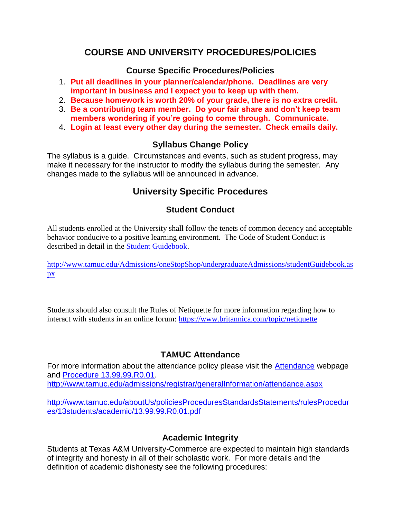## **COURSE AND UNIVERSITY PROCEDURES/POLICIES**

#### **Course Specific Procedures/Policies**

- 1. **Put all deadlines in your planner/calendar/phone. Deadlines are very important in business and I expect you to keep up with them.**
- 2. **Because homework is worth 20% of your grade, there is no extra credit.**
- 3. **Be a contributing team member. Do your fair share and don't keep team members wondering if you're going to come through. Communicate.**
- 4. **Login at least every other day during the semester. Check emails daily.**

### **Syllabus Change Policy**

The syllabus is a guide. Circumstances and events, such as student progress, may make it necessary for the instructor to modify the syllabus during the semester. Any changes made to the syllabus will be announced in advance.

# **University Specific Procedures**

### **Student Conduct**

All students enrolled at the University shall follow the tenets of common decency and acceptable behavior conducive to a positive learning environment. The Code of Student Conduct is described in detail in the [Student Guidebook.](http://www.tamuc.edu/Admissions/oneStopShop/undergraduateAdmissions/studentGuidebook.aspx)

[http://www.tamuc.edu/Admissions/oneStopShop/undergraduateAdmissions/studentGuidebook.as](http://www.tamuc.edu/Admissions/oneStopShop/undergraduateAdmissions/studentGuidebook.aspx) [px](http://www.tamuc.edu/Admissions/oneStopShop/undergraduateAdmissions/studentGuidebook.aspx)

Students should also consult the Rules of Netiquette for more information regarding how to interact with students in an online forum: <https://www.britannica.com/topic/netiquette>

### **TAMUC Attendance**

For more information about the attendance policy please visit the [Attendance](http://www.tamuc.edu/admissions/registrar/generalInformation/attendance.aspx) webpage and [Procedure 13.99.99.R0.01.](http://www.tamuc.edu/aboutUs/policiesProceduresStandardsStatements/rulesProcedures/13students/academic/13.99.99.R0.01.pdf) <http://www.tamuc.edu/admissions/registrar/generalInformation/attendance.aspx>

[http://www.tamuc.edu/aboutUs/policiesProceduresStandardsStatements/rulesProcedur](http://www.tamuc.edu/aboutUs/policiesProceduresStandardsStatements/rulesProcedures/13students/academic/13.99.99.R0.01.pdf) [es/13students/academic/13.99.99.R0.01.pdf](http://www.tamuc.edu/aboutUs/policiesProceduresStandardsStatements/rulesProcedures/13students/academic/13.99.99.R0.01.pdf)

### **Academic Integrity**

Students at Texas A&M University-Commerce are expected to maintain high standards of integrity and honesty in all of their scholastic work. For more details and the definition of academic dishonesty see the following procedures: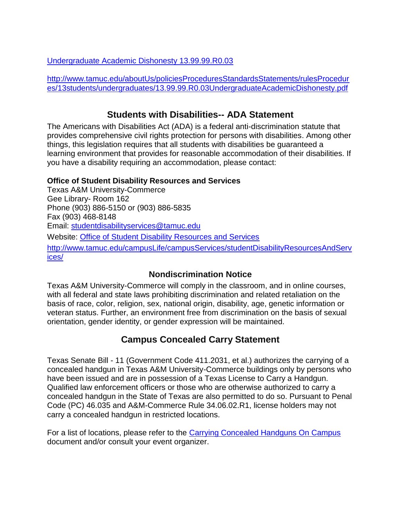[Undergraduate Academic Dishonesty 13.99.99.R0.03](http://www.tamuc.edu/aboutUs/policiesProceduresStandardsStatements/rulesProcedures/13students/undergraduates/13.99.99.R0.03UndergraduateAcademicDishonesty.pdf)

[http://www.tamuc.edu/aboutUs/policiesProceduresStandardsStatements/rulesProcedur](http://www.tamuc.edu/aboutUs/policiesProceduresStandardsStatements/rulesProcedures/13students/undergraduates/13.99.99.R0.03UndergraduateAcademicDishonesty.pdf) [es/13students/undergraduates/13.99.99.R0.03UndergraduateAcademicDishonesty.pdf](http://www.tamuc.edu/aboutUs/policiesProceduresStandardsStatements/rulesProcedures/13students/undergraduates/13.99.99.R0.03UndergraduateAcademicDishonesty.pdf)

# **Students with Disabilities-- ADA Statement**

The Americans with Disabilities Act (ADA) is a federal anti-discrimination statute that provides comprehensive civil rights protection for persons with disabilities. Among other things, this legislation requires that all students with disabilities be guaranteed a learning environment that provides for reasonable accommodation of their disabilities. If you have a disability requiring an accommodation, please contact:

### **Office of Student Disability Resources and Services**

Texas A&M University-Commerce Gee Library- Room 162 Phone (903) 886-5150 or (903) 886-5835 Fax (903) 468-8148 Email: [studentdisabilityservices@tamuc.edu](mailto:studentdisabilityservices@tamuc.edu) Website: [Office of Student Disability Resources and Services](http://www.tamuc.edu/campusLife/campusServices/studentDisabilityResourcesAndServices/) [http://www.tamuc.edu/campusLife/campusServices/studentDisabilityResourcesAndServ](http://www.tamuc.edu/campusLife/campusServices/studentDisabilityResourcesAndServices/) [ices/](http://www.tamuc.edu/campusLife/campusServices/studentDisabilityResourcesAndServices/)

## **Nondiscrimination Notice**

Texas A&M University-Commerce will comply in the classroom, and in online courses, with all federal and state laws prohibiting discrimination and related retaliation on the basis of race, color, religion, sex, national origin, disability, age, genetic information or veteran status. Further, an environment free from discrimination on the basis of sexual orientation, gender identity, or gender expression will be maintained.

# **Campus Concealed Carry Statement**

Texas Senate Bill - 11 (Government Code 411.2031, et al.) authorizes the carrying of a concealed handgun in Texas A&M University-Commerce buildings only by persons who have been issued and are in possession of a Texas License to Carry a Handgun. Qualified law enforcement officers or those who are otherwise authorized to carry a concealed handgun in the State of Texas are also permitted to do so. Pursuant to Penal Code (PC) 46.035 and A&M-Commerce Rule 34.06.02.R1, license holders may not carry a concealed handgun in restricted locations.

For a list of locations, please refer to the [Carrying Concealed Handguns On Campus](http://www.tamuc.edu/aboutUs/policiesProceduresStandardsStatements/rulesProcedures/34SafetyOfEmployeesAndStudents/34.06.02.R1.pdf) document and/or consult your event organizer.